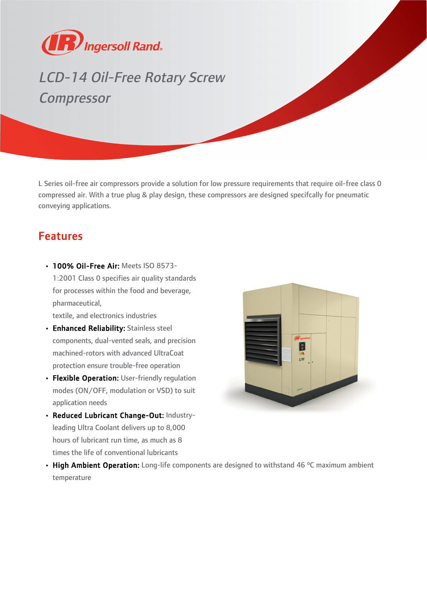

## LCD-14 Oil-Free Rotary Screw Compressor

L Series oil-free air compressors provide a solution for low pressure requirements that require oil-free class 0 compressed air. With a true plug & play design, these compressors are designed specifcally for pneumatic conveying applications.

## Features

• 100% Oil-Free Air: Meets ISO 8573-1:2001 Class 0 specifies air quality standards for processes within the food and beverage, pharmaceutical,

textile, and electronics industries

- Enhanced Reliability: Stainless steel components, dual-vented seals, and precision machined-rotors with advanced UltraCoat protection ensure trouble-free operation
- Flexible Operation: User-friendly regulation modes (ON/OFF, modulation or VSD) to suit application needs
- Reduced Lubricant Change-Out: Industryleading Ultra Coolant delivers up to 8,000 hours of lubricant run time, as much as 8 times the life of conventional lubricants



• High Ambient Operation: Long-life components are designed to withstand 46 °C maximum ambient temperature